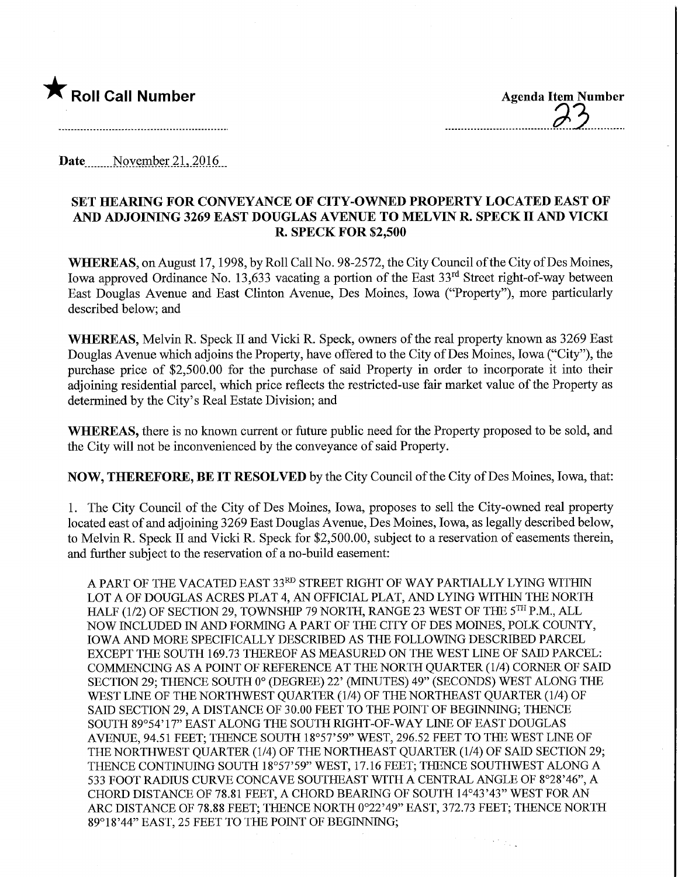

Date November 21, 2016

## SET HEARING FOR CONVEYANCE OF CITY-OWNED PROPERTY LOCATED EAST OF AND ADJOINING 3269 EAST DOUGLAS AVENUE TO MELVIN R. SPECK II AND VICKI R. SPECK FOR \$2,500

WHEREAS, on August 17, 1998, by Roll Call No. 98-2572, the City Council of the City of Des Moines, Iowa approved Ordinance No. 13,633 vacating a portion of the East 33<sup>rd</sup> Street right-of-way between East Douglas Avenue and East Clinton Avenue, Des Moines, Iowa ("Property"), more particularly described below; and

WHEREAS, Melvin R. Speck II and Vicki R. Speck, owners of the real property known as 3269 East Douglas Avenue which adjoins the Property, have offered to the City of Des Moines, Iowa ("City"), the purchase price of \$2,500.00 for the purchase of said Property in order to incorporate it into their adjoining residential parcel, which price reflects the restricted-use fair market value of the Property as determined by the City's Real Estate Division; and

WHEREAS, there is no known current or future public need for the Property proposed to be sold, and the City will not be inconvenienced by the conveyance of said Property.

NOW, THEREFORE, BE IT RESOLVED by the City Council of the City of Des Moines, Iowa, that:

1. The City Council of the City of Des Moines, Iowa, proposes to sell the City-owned real property located east of and adjoining 3269 East Douglas Avenue, Des Moines, Iowa, as legally described below, to Melvin R. Speck II and Vicki R. Speck for \$2,500.00, subject to a reservation of easements therein, and further subject to the reservation of a no-build easement:

A PART OF THE VACATED EAST 33RD STREET RIGHT OF WAY PARTIALLY LYING WITHIN LOT A OF DOUGLAS ACRES PLAT 4, AN OFFICIAL PLAT, AND LYING WITHIN THE NORTH HALF (1/2) OF SECTION 29, TOWNSHIP 79 NORTH, RANGE 23 WEST OF THE 5TH P.M., ALL NOW INCLUDED IN AND FORMING A PART OF THE CITY OF DES MOINES, POLK COUNTY, IOWA AND MORE SPECIFICALLY DESCRIBED AS THE FOLLOWING DESCRIBED PARCEL EXCEPT THE SOUTH 169.73 THEREOF AS MEASURED ON THE WEST LINE OF SAID PARCEL: COMMENCING AS A POINT OF REFERENCE AT THE NORTH QUARTER (1/4) CORNER OF SAID SECTION 29; THENCE SOUTH 0° (DEGREE) 22' (MINUTES) 49" (SECONDS) WEST ALONG THE WEST LINE OF THE NORTHWEST QUARTER (1/4) OF THE NORTHEAST QUARTER (1/4) OF SAID SECTION 29, A DISTANCE OF 30.00 FEET TO THE POINT OF BEGINNING; THENCE SOUTH 89°54' 17" EAST ALONG THE SOUTH RIGHT-OF-WAY LINE OF EAST DOUGLAS AVENUE, 94.51 FEET; THENCE SOUTH 18°57'59" WEST, 296.52 FEET TO THE WEST LINE OF THE NORTHWEST QUARTER (1/4) OF THE NORTHEAST QUARTER (1/4) OF SADD SECTION 29; THENCE CONTINUING SOUTH 18°57'59" WEST, 17.16 FEET; THENCE SOUTHWEST ALONG A 533 FOOT RADIUS CURVE CONCAVE SOUTHEAST WITH A CENTRAL ANGLE OF 8°28'46", A CHORD DISTANCE OF 78.81 FEET, A CHORD BEARING OF SOUTH 14°43'43" WEST FOR AN ARC DISTANCE OF 78.88 FEET; THENCE NORTH 0°22'49" EAST, 372.73 FEET; THENCE NORTH 89° 18'44" EAST, 25 FEET TO THE POINT OF BEGINNING;

 $\sim$   $\sim$   $_{\odot}$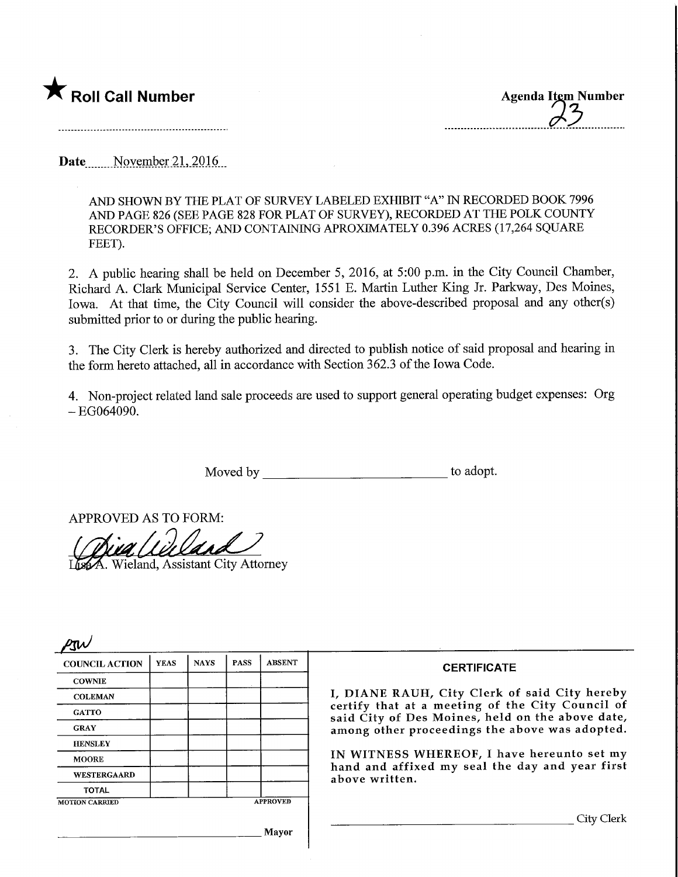

Date November 21, 2016

AND SHOWN BY THE PLAT OF SURVEY LABELED EXHIBIT "A" IN RECORDED BOOK 7996 AND PAGE 826 (SEE PAGE 828 FOR PLAT OF SURVEY), RECORDED AT THE POLK COUNTY RECORDER'S OFFICE; AND CONTAINING APROXIMATELY 0.396 ACRES (17,264 SQUARE FEET).

2. A public hearing shall be held on December 5, 2016, at 5:00 p.m. in the City Council Chamber, Richard A. dark Municipal Service Center, 1551 E. Martin Luther King Jr. Parkway, Des Moines, Iowa. At that time, the City Council will consider the above-described proposal and any other(s) submitted prior to or during the public hearing.

3. The City Clerk is hereby authorized and directed to publish notice of said proposal and hearing in the form hereto attached, all in accordance with Section 362.3 of the Iowa Code.

4. Non-project related land sale proceeds are used to support general operating budget expenses: Org  $-$ EG064090.

Moved by to adopt.

APPROVED AS TO FORM:

. Wieland, Assistant City Attorney

 $2\sigma$ COUNCIL ACTION **COWNIE COLEMAN GATTO** GRAY **HENSLEY** MOORE WESTERGAARD **TOTAL** YEAS MOTION CARRIED NAYS | PASS | ABSENT APPROVED Mayor **CERTIFICATE** I, DIANE RAUH, City Clerk of said City hereby certify that at a meeting of the City Council of said City of Des Moines, held on the above date, among other proceedings the above was adopted. IN WITNESS WHEREOF, I have hereunto set my hand and affixed my seal the day and year first above written. . City Clerk